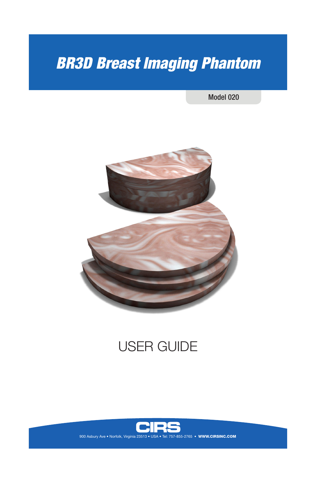# *BR3D Breast Imaging Phantom*

Model 020



## USER GUIDE



900 Asbury Ave • Norfolk, Virginia 23513 • USA • Tel: 757-855-2765 • WWW.CIRSINC.COM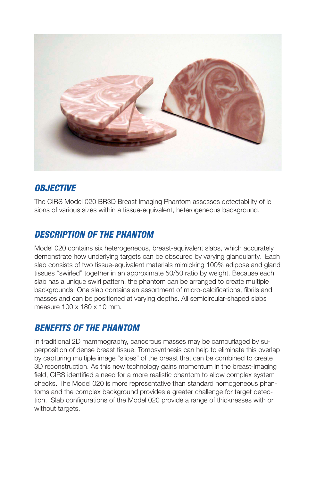

## *OBJECTIVE*

The CIRS Model 020 BR3D Breast Imaging Phantom assesses detectability of lesions of various sizes within a tissue-equivalent, heterogeneous background.

## *DESCRIPTION OF THE PHANTOM*

Model 020 contains six heterogeneous, breast-equivalent slabs, which accurately demonstrate how underlying targets can be obscured by varying glandularity. Each slab consists of two tissue-equivalent materials mimicking 100% adipose and gland tissues "swirled" together in an approximate 50/50 ratio by weight. Because each slab has a unique swirl pattern, the phantom can be arranged to create multiple backgrounds. One slab contains an assortment of micro-calcifications, fibrils and masses and can be positioned at varying depths. All semicircular-shaped slabs measure 100 x 180 x 10 mm.

## *BENEFITS OF THE PHANTOM*

In traditional 2D mammography, cancerous masses may be camouflaged by superposition of dense breast tissue. Tomosynthesis can help to eliminate this overlap by capturing multiple image "slices" of the breast that can be combined to create 3D reconstruction. As this new technology gains momentum in the breast-imaging field, CIRS identified a need for a more realistic phantom to allow complex system checks. The Model 020 is more representative than standard homogeneous phantoms and the complex background provides a greater challenge for target detection. Slab configurations of the Model 020 provide a range of thicknesses with or without targets.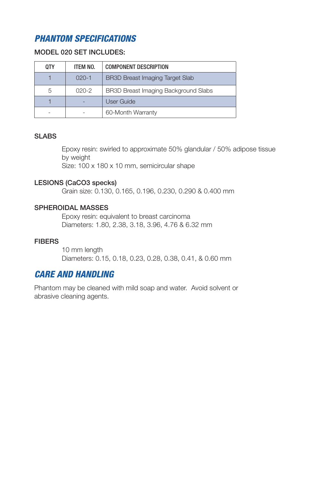## *PHANTOM SPECIFICATIONS*

#### MODEL 020 SET INCLUDES:

| <b>QTY</b> | ITEM NO.  | <b>COMPONENT DESCRIPTION</b>                |
|------------|-----------|---------------------------------------------|
|            | $020 - 1$ | <b>BR3D Breast Imaging Target Slab</b>      |
| 5          | $020 - 2$ | <b>BR3D Breast Imaging Background Slabs</b> |
|            |           | User Guide                                  |
|            |           | 60-Month Warranty                           |

#### SLABS

Epoxy resin: swirled to approximate 50% glandular / 50% adipose tissue by weight

Size: 100 x 180 x 10 mm, semicircular shape

#### LESIONS (CaCO3 specks)

Grain size: 0.130, 0.165, 0.196, 0.230, 0.290 & 0.400 mm

#### SPHEROIDAL MASSES

Epoxy resin: equivalent to breast carcinoma Diameters: 1.80, 2.38, 3.18, 3.96, 4.76 & 6.32 mm

#### **FIBERS**

10 mm length Diameters: 0.15, 0.18, 0.23, 0.28, 0.38, 0.41, & 0.60 mm

## *CARE AND HANDLING*

Phantom may be cleaned with mild soap and water. Avoid solvent or abrasive cleaning agents.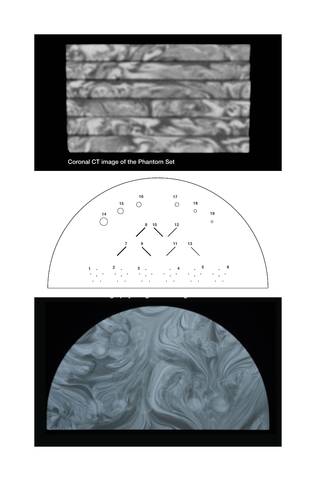

Coronal CT image of the Phantom Set



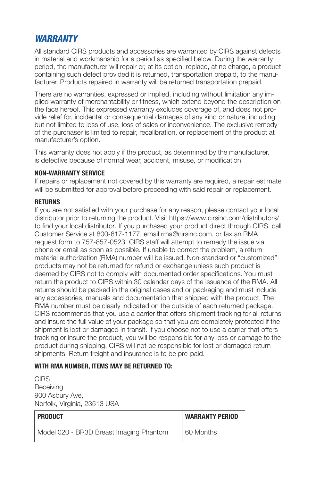### *WARRANTY*

All standard CIRS products and accessories are warranted by CIRS against defects in material and workmanship for a period as specified below. During the warranty period, the manufacturer will repair or, at its option, replace, at no charge, a product containing such defect provided it is returned, transportation prepaid, to the manufacturer. Products repaired in warranty will be returned transportation prepaid.

There are no warranties, expressed or implied, including without limitation any implied warranty of merchantability or fitness, which extend beyond the description on the face hereof. This expressed warranty excludes coverage of, and does not provide relief for, incidental or consequential damages of any kind or nature, including but not limited to loss of use, loss of sales or inconvenience. The exclusive remedy of the purchaser is limited to repair, recalibration, or replacement of the product at manufacturer's option.

This warranty does not apply if the product, as determined by the manufacturer, is defective because of normal wear, accident, misuse, or modification.

#### **NON-WARRANTY SERVICE**

If repairs or replacement not covered by this warranty are required, a repair estimate will be submitted for approval before proceeding with said repair or replacement.

#### **RETURNS**

If you are not satisfied with your purchase for any reason, please contact your local distributor prior to returning the product. Visit https://www.cirsinc.com/distributors/ to find your local distributor. If you purchased your product direct through CIRS, call Customer Service at 800-617-1177, email rma@cirsinc.com, or fax an RMA request form to 757-857-0523. CIRS staff will attempt to remedy the issue via phone or email as soon as possible. If unable to correct the problem, a return material authorization (RMA) number will be issued. Non-standard or "customized" products may not be returned for refund or exchange unless such product is deemed by CIRS not to comply with documented order specifications. You must return the product to CIRS within 30 calendar days of the issuance of the RMA. All returns should be packed in the original cases and or packaging and must include any accessories, manuals and documentation that shipped with the product. The RMA number must be clearly indicated on the outside of each returned package. CIRS recommends that you use a carrier that offers shipment tracking for all returns and insure the full value of your package so that you are completely protected if the shipment is lost or damaged in transit. If you choose not to use a carrier that offers tracking or insure the product, you will be responsible for any loss or damage to the product during shipping. CIRS will not be responsible for lost or damaged return shipments. Return freight and insurance is to be pre-paid.

#### **WITH RMA NUMBER, ITEMS MAY BE RETURNED TO:**

**CIRS Receiving** 900 Asbury Ave, Norfolk, Virginia, 23513 USA

| <b>PRODUCT</b>                          | <b>WARRANTY PERIOD</b> |
|-----------------------------------------|------------------------|
| Model 020 - BR3D Breast Imaging Phantom | 60 Months              |